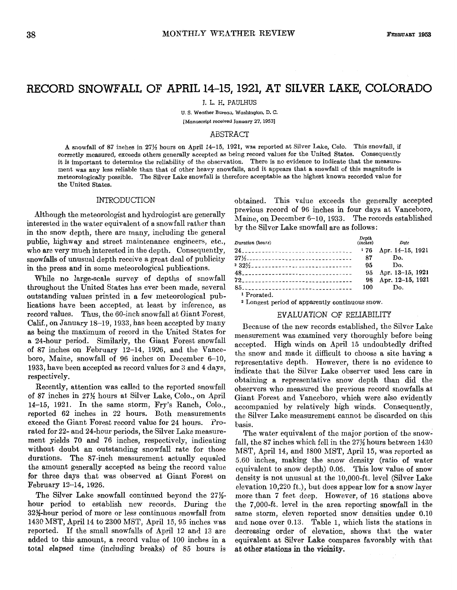# RECORD SNOWFALL OF APRIL 14-15,1921, AT SILVER LAKE, COLORADO

J. **L.** H. PAULHUS

**U.** S. **Weather Bureau, Washlngton. D.** *C.*  **[Manuscript received January 27, 19531** 

### ABSTRACT

**A** snowfall **of 87** inches in 27% hours on April 14-15, 1921, was reported at Silver Lake, Colo. This snowfall, if it is important to determine the reliability of the observation. There is no evidence to indicate that the measurement was any less reliable than that of other heavy snowfalls, and it appears that a snowfall of this magnitude is meteorologically possible. The Silver Lake snowfall is therefore acceptable as the highest known recorded value for the United States.

#### INTRODUCTION

Although the meteorologist and hydrologist are generally interested in the water equivalent of a snowfall rather than in the snow depth, there are many, including the general public, highway and street maintenance engineers, etc., who are very much interested in the depth. Consequently, snowfalls of unusual depth receive a great deal of publicity in the press and in some meteorological publications.

While no large-scale survey of depths of snowfall throughout the United States has ever been made, several outstanding values printed in a few meteorological publications have been accepted, at least by inference, as record values. Thus, the 60-inch snowfall at Giant Forest, Calif., on January 18-19, 1933, has been accepted by many as being the maximum of record in the United States for a 24-hour period. Similarly, the Giant Forest snowfall of 87 inches on February 12-14, 1926, and the Vanceboro, Maine, snowfall of 96 inches on December 6-10, 1933, have been accepted as record values for 3 and 4 days, respectively.

Recently, attention was called to the reported snowfall of 87 inches in 27% hours at Silver Lake, Colo., on April 14-15, 1921. In the same storm, Fry's Ranch, Colo., reported 62 inches in 22 hours. Both measurements exceed the Giant Forest record value for 24 hours. Prorated for 22- and 24-hour periods, the Silver Lake measurement yields 70 and 76 inches, respectively, indicating without doubt an outstanding snowfall rate for those durations. The 87-inch measurement actually equaled the amount generally accepted as being the record value for three days that was observed at Giant Forest on February 12-14, 1926.

The Silver Lake snowfall continued beyond the 27% hour period to establish new records. During the 32S-hour period of more or less continuous snowfall from 1430 MST, April 14 to 2300 MST, April 15,95 inches was reported. If the small snowfalls of April 12 and 13 are added to this amount, a record value of 100 inches in a total elapsed time (including breaks) of 85 hours is obtained. This value exceeds the generally accepted previous record of 96 inches in four days at Vanceboro, Maine, on December 6-10, 1933. The records established by the Silver Lake snowfall are as follows:

| Duration (hours)                                             | Depth (inches) | Date                |
|--------------------------------------------------------------|----------------|---------------------|
|                                                              | 176            | Apr. 14–15, 1921    |
| 27½----------------------------------                        | 87             | Do.                 |
| <sup>2</sup> 32½ <sub>--------------------------------</sub> | 95             | Do.                 |
|                                                              |                | 95 Apr. 13-15, 1921 |
|                                                              | 98             | Apr. 12-15, 1921    |
|                                                              | 100 —          | Do.                 |
| <sup>1</sup> Prorated.                                       |                |                     |

<sup>2</sup> Longest period of apparently continuous snow.

#### EVALUATION OF RELIABILITY

Because of the new records established, the Silver Lake measurement was examined very thoroughly before being accepted. High winds on April 15 undoubtedly drifted the snow and made it difficult to choose a site having a representative depth. However, there is no evidence to indicate that the Silver Lake observer used less care in obtaining a representative snow depth than did the observers who measured the previous record snowfalls at Giant Forest and Vanceboro, which were also evidently accompanied by relatively high winds. Consequently, the Silver Lake measurement cannot be discarded on this basis.

The water equivalent of the major portion of the snowfall, the 87 inches which fell in the 27% hours between 1430 MST, April 14, and 1800 MST, April 15, was reported as 5.60 inches, making the snow density (ratio of water equivalent to snow depth) 0.06. This low value of snow density is not unusual at the 10,000-ft. level (Silver Lake elevation 10,220 ft.), but does appear low for a snow layer more than 7 feet deep. However, of 16 stations above the 7,000-ft. level in the area reporting snowfall in the same storm, eleven reported snow densities under 0.10 and none over 0.13. Table 1, which lists the stations in decreasing order of elevation, shows that the water equivalent at Silver Lake compares favorably with that **at** other stations in the vicinity.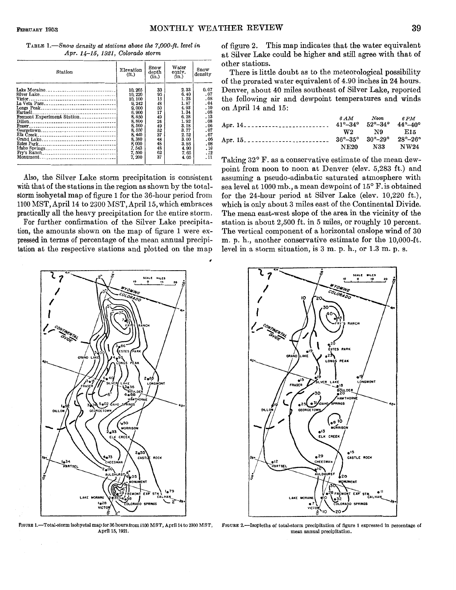| <b>TABLE 1.</b> —Snow density at stations above the 7,000-ft. level in |  |
|------------------------------------------------------------------------|--|
| $Apr. 14-15, 1921, Colorado storm$                                     |  |

| Lake Moraine<br>2.33<br>33<br>0.07<br>10, 265<br>95<br>.07<br>6.40<br>10.220<br>1.23<br>15<br>.08<br>10, 100<br>48<br>1.87<br>.04<br>9, 242<br>4.93<br>.10<br>50<br>9,000<br>Hartsell<br>1.34<br>17<br>.08<br>8,900<br>-----------------------------<br>Fremont Experiment Station<br>6.28<br>.13<br>49<br>8.850<br>24<br>1.92<br>.08<br>8,800<br>3.18<br>.06<br>8.560<br>49<br>3.77<br>52<br>.07<br>8.550<br>37<br>2.52<br>8,440<br>.07<br>48<br>8,380<br>3.00<br>.06<br>8,000<br>.08<br>48<br>3.86 | Station | Elevation<br>(f <sub>t</sub> ) | Snow<br>depth<br>(in.) | Water<br>equiv.<br>(in.) | Snow<br>density |
|------------------------------------------------------------------------------------------------------------------------------------------------------------------------------------------------------------------------------------------------------------------------------------------------------------------------------------------------------------------------------------------------------------------------------------------------------------------------------------------------------|---------|--------------------------------|------------------------|--------------------------|-----------------|
| 62<br>7,500<br>7.65<br>.12                                                                                                                                                                                                                                                                                                                                                                                                                                                                           |         | 7, 543                         | 48                     | 4.90                     | .10             |

Also, the Silver Lake storm precipitation is consistent with that of the stations in the region as shown by the totalstorm isohyetal map of figure 1 for the 36-hour period from 1100 MST, April 14 to 2300 MST, April 15, which embraces practically all the heavy precipitation for the entire storm.

For further confirmation of the Silver Lake precipitation, the amounts shown on the map of figure 1 were expressed in terms of percentage of the mean annual precipitation at the respective stations and plotted on the map



**FIGURE 1.-Total-storm isohyetal map for 36** hours **from 1100 MST, April 14 to** *2300* **MST, April 16, 1921.** 

of figure 2. This map indicates that the water equivalent at Silver Lake could be higher and still agree with that of other stations.

There is little doubt as to the meteorological possibility of the prorated water equivalent of 4.90 inches in 24 hours. Denver, about 40 miles southeast of Silver Lake, reported the following air and dewpoint temperatures and winds on April 14 and 15:

|  | $6AM$ Noon $6PM$                                                              |  |
|--|-------------------------------------------------------------------------------|--|
|  |                                                                               |  |
|  | $W2 \t\t N9 \t\t E15$                                                         |  |
|  | $36^{\circ} - 35^{\circ}$ $30^{\circ} - 29^{\circ}$ $28^{\circ} - 26^{\circ}$ |  |
|  | NE20 N33 NW24                                                                 |  |

Taking 32° F. as a conservative estimate of the mean dewpoint from noon to noon at Denver (elev. 5,283 ft.) and assuming a pseudo-adiabatic saturated atmosphere with sea level at 1000 mb., a mean dewpoint of 15° F. is obtained for the 24-hour period at Silver Lake (elev. 10,220 ft.), which is only about 3 miles east of the Continental Divide. The mean east-west slope of the area in the vicinity of the station is about 2,500 ft. in 5 miles, or roughly 10 percent. The vertical component of a horizontal onslope wind of 30 m. p. h., another conservative estimate for the 10,000-ft. level in a storm situation, is **3** m. p. h., or 1.3 m. p. s.



**FIQURE 2.-Isopleths of total-storm precipitation of** figure **1 expressed** in **percentage of mean annual precipitation.**